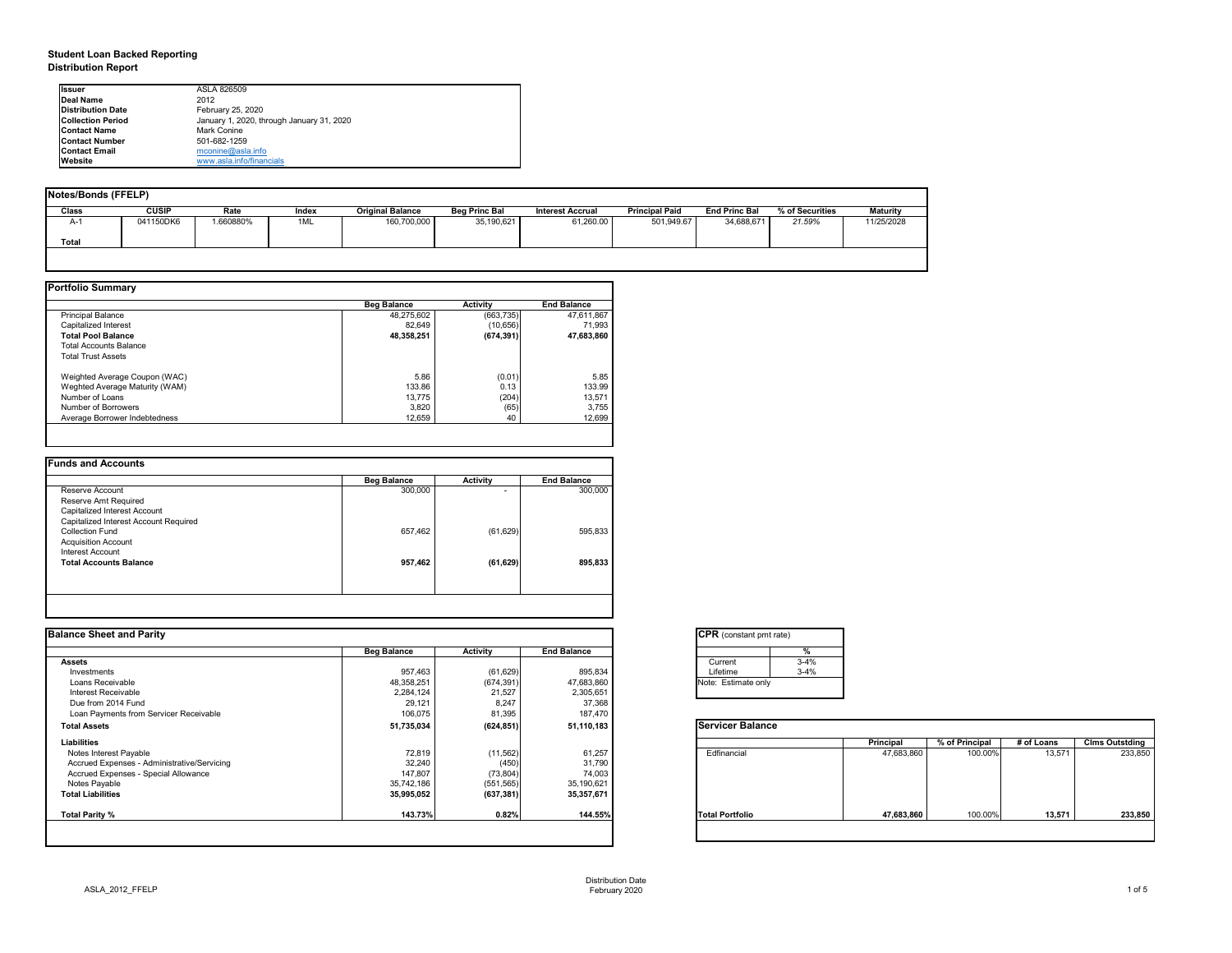# **Student Loan Backed Reporting Distribution Report**

| Notes/Bonds (FFELP) |              |          |       |                         |                      |                         |                       |                      |                 |                 |
|---------------------|--------------|----------|-------|-------------------------|----------------------|-------------------------|-----------------------|----------------------|-----------------|-----------------|
| <b>Class</b>        | <b>CUSIP</b> | Rate     | Index | <b>Original Balance</b> | <b>Beg Princ Bal</b> | <b>Interest Accrual</b> | <b>Principal Paid</b> | <b>End Princ Bal</b> | % of Securities | <b>Maturity</b> |
| A-1                 | 041150DK6    | .660880% | 1ML   | 160,700,000             | 35,190,621           | 61,260.00               | 501,949.67            | 34,688,671           | 21.59%          | 11/25/2028      |
| <b>Total</b>        |              |          |       |                         |                      |                         |                       |                      |                 |                 |
|                     |              |          |       |                         |                      |                         |                       |                      |                 |                 |

|                                | <b>Beg Balance</b> | <b>Activity</b> | <b>End Balance</b> |
|--------------------------------|--------------------|-----------------|--------------------|
| <b>Principal Balance</b>       | 48,275,602         | (663, 735)      | 47,611,867         |
| Capitalized Interest           | 82,649             | (10, 656)       | 71,993             |
| <b>Total Pool Balance</b>      | 48,358,251         | (674, 391)      | 47,683,860         |
| <b>Total Accounts Balance</b>  |                    |                 |                    |
| <b>Total Trust Assets</b>      |                    |                 |                    |
| Weighted Average Coupon (WAC)  | 5.86               | (0.01)          | 5.85               |
| Weghted Average Maturity (WAM) | 133.86             | 0.13            | 133.99             |
| Number of Loans                | 13,775             | (204)           | 13,571             |
| Number of Borrowers            | 3,820              | (65)            | 3,755              |
| Average Borrower Indebtedness  | 12,659             | 40              | 12,699             |

| <b>Funds and Accounts</b>             |                    |                 |                    |
|---------------------------------------|--------------------|-----------------|--------------------|
|                                       | <b>Beg Balance</b> | <b>Activity</b> | <b>End Balance</b> |
| Reserve Account                       | 300,000            | ۰.              | 300,000            |
| Reserve Amt Required                  |                    |                 |                    |
| Capitalized Interest Account          |                    |                 |                    |
| Capitalized Interest Account Required |                    |                 |                    |
| <b>Collection Fund</b>                | 657,462            | (61, 629)       | 595,833            |
| <b>Acquisition Account</b>            |                    |                 |                    |
| Interest Account                      |                    |                 |                    |
| <b>Total Accounts Balance</b>         | 957,462            | (61, 629)       | 895,833            |
|                                       |                    |                 |                    |
|                                       |                    |                 |                    |
|                                       |                    |                 |                    |

| <b>I</b> lssuer          | ASLA 826509                               |
|--------------------------|-------------------------------------------|
| <b>IDeal Name</b>        | 2012                                      |
| <b>Distribution Date</b> | February 25, 2020                         |
| <b>Collection Period</b> | January 1, 2020, through January 31, 2020 |
| <b>Contact Name</b>      | Mark Conine                               |
| <b>Contact Number</b>    | 501-682-1259                              |
| <b>Contact Email</b>     | $m$ conine@asla.info                      |
| <b>IWebsite</b>          | www.asla.info/financials                  |

| <b>Balance Sheet and Parity</b>             |                    |                 |                    | <b>CPR</b> (constant pmt rate) |                  |                |            |                       |
|---------------------------------------------|--------------------|-----------------|--------------------|--------------------------------|------------------|----------------|------------|-----------------------|
|                                             | <b>Beg Balance</b> | <b>Activity</b> | <b>End Balance</b> | %                              |                  |                |            |                       |
| <b>Assets</b>                               |                    |                 |                    | $3 - 4%$<br>Current            |                  |                |            |                       |
| Investments                                 | 957,463            | (61, 629)       | 895,834            | $3 - 4%$<br>Lifetime           |                  |                |            |                       |
| Loans Receivable                            | 48,358,251         | (674, 391)      | 47,683,860         | Note: Estimate only            |                  |                |            |                       |
| <b>Interest Receivable</b>                  | 2,284,124          | 21,527          | 2,305,651          |                                |                  |                |            |                       |
| Due from 2014 Fund                          | 29,121             | 8,247           | 37,368             |                                |                  |                |            |                       |
| Loan Payments from Servicer Receivable      | 106,075            | 81,395          | 187,470            |                                |                  |                |            |                       |
| <b>Total Assets</b>                         | 51,735,034         | (624, 851)      | 51,110,183         | <b>Servicer Balance</b>        |                  |                |            |                       |
| Liabilities                                 |                    |                 |                    |                                | <b>Principal</b> | % of Principal | # of Loans | <b>Clms Outstding</b> |
| Notes Interest Payable                      | 72,819             | (11, 562)       | 61,257             | Edfinancial                    | 47,683,860       | 100.00%        | 13,571     | 233,850               |
| Accrued Expenses - Administrative/Servicing | 32,240             | (450)           | 31,790             |                                |                  |                |            |                       |
| Accrued Expenses - Special Allowance        | 147,807            | (73, 804)       | 74,003             |                                |                  |                |            |                       |
| Notes Payable                               | 35,742,186         | (551, 565)      | 35,190,621         |                                |                  |                |            |                       |
| <b>Total Liabilities</b>                    | 35,995,052         | (637, 381)      | 35,357,671         |                                |                  |                |            |                       |
| Total Parity %                              | 143.73%            | 0.82%           | 144.55%            | <b>Total Portfolio</b>         | 47,683,860       | 100.00%        | 13,571     | 233,850               |

| tant pmt rate) |          |
|----------------|----------|
|                | $\%$     |
|                | $3 - 4%$ |
|                | $3 - 4%$ |
| ate only       |          |

|      | Principal  | % of Principal | # of Loans | <b>Clms Outstding</b> |
|------|------------|----------------|------------|-----------------------|
| al   | 47,683,860 | 100.00%        | 13,571     | 233,850               |
| olio | 47,683,860 | 100.00%        | 13,571     | 233,850               |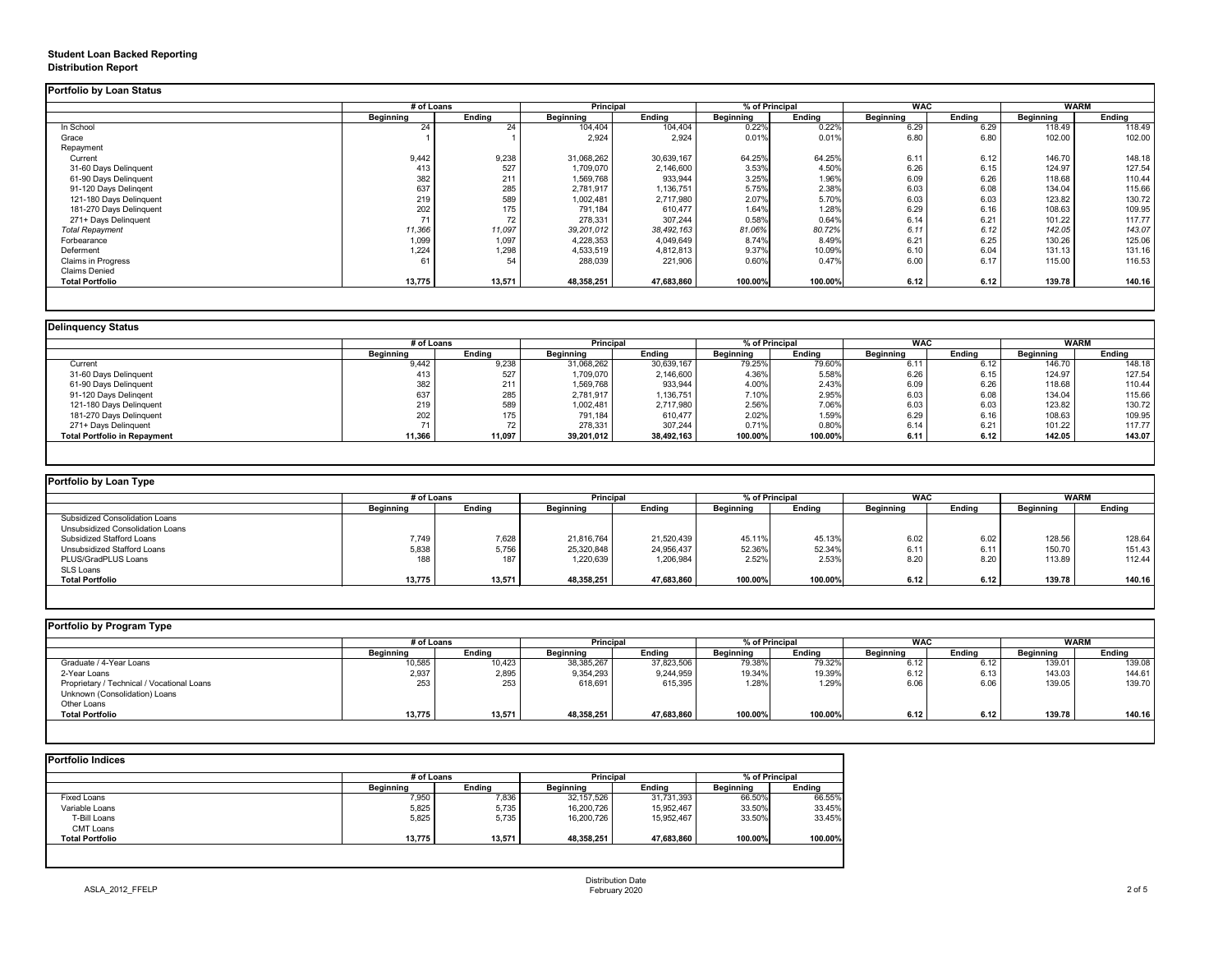# **Student Loan Backed Reporting Distribution Report**

### **Delinquency Status**

|                           | # of Loans       |               | Principal        |               | % of Principal   |               | <b>WAC</b>       |               | <b>WARM</b>      |               |
|---------------------------|------------------|---------------|------------------|---------------|------------------|---------------|------------------|---------------|------------------|---------------|
|                           | <b>Beginning</b> | <b>Ending</b> | <b>Beginning</b> | <b>Ending</b> | <b>Beginning</b> | <b>Ending</b> | <b>Beginning</b> | <b>Ending</b> | <b>Beginning</b> | <b>Ending</b> |
| In School                 | 24               | 24            | 104,404          | 104,404       | 0.22%            | 0.22%         | 6.29             | 6.29          | 118.49           | 118.49        |
| Grace                     |                  |               | 2,924            | 2,924         | 0.01%            | 0.01%         | 6.80             | 6.80          | 102.00           | 102.00        |
| Repayment                 |                  |               |                  |               |                  |               |                  |               |                  |               |
| Current                   | 9,442            | 9,238         | 31,068,262       | 30,639,167    | 64.25%           | 64.25%        | 6.11             | 6.12          | 146.70           | 148.18        |
| 31-60 Days Delinquent     | 413              | 527           | 1,709,070        | 2,146,600     | 3.53%            | 4.50%         | 6.26             | 6.15          | 124.97           | 127.54        |
| 61-90 Days Delinquent     | 382              | 211           | 1,569,768        | 933,944       | 3.25%            | 1.96%         | 6.09             | 6.26          | 118.68           | 110.44        |
| 91-120 Days Delingent     | 637              | 285           | 2,781,917        | 1,136,751     | 5.75%            | 2.38%         | 6.03             | 6.08          | 134.04           | 115.66        |
| 121-180 Days Delinquent   | 219              | 589           | 1,002,481        | 2,717,980     | 2.07%            | 5.70%         | 6.03             | 6.03          | 123.82           | 130.72        |
| 181-270 Days Delinquent   | 202              | 175           | 791,184          | 610,477       | 1.64%            | 1.28%         | 6.29             | 6.16          | 108.63           | 109.95        |
| 271+ Days Delinquent      | 71               | 72            | 278,331          | 307,244       | 0.58%            | 0.64%         | 6.14             | 6.21          | 101.22           | 117.77        |
| <b>Total Repayment</b>    | 11,366           | 11,097        | 39,201,012       | 38,492,163    | 81.06%           | 80.72%        | 6.11             | 6.12          | 142.05           | 143.07        |
| Forbearance               | 1,099            | 1,097         | 4,228,353        | 4,049,649     | 8.74%            | 8.49%         | 6.21             | 6.25          | 130.26           | 125.06        |
| Deferment                 | 1,224            | 1,298         | 4,533,519        | 4,812,813     | 9.37%            | 10.09%        | 6.10             | 6.04          | 131.13           | 131.16        |
| <b>Claims in Progress</b> | 61               | 54            | 288,039          | 221,906       | 0.60%            | 0.47%         | 6.00             | 6.17          | 115.00           | 116.53        |
| <b>Claims Denied</b>      |                  |               |                  |               |                  |               |                  |               |                  |               |
| <b>Total Portfolio</b>    | 13,775           | 13,571        | 48,358,251       | 47,683,860    | 100.00%          | 100.00%       | 6.12             | 6.12          | 139.78           | 140.16        |

|                                     | # of Loans       |               | <b>Principal</b> |               | % of Principal   |               | <b>WAC</b>       |               | WARM             |               |
|-------------------------------------|------------------|---------------|------------------|---------------|------------------|---------------|------------------|---------------|------------------|---------------|
|                                     | <b>Beginning</b> | <b>Ending</b> | <b>Beginning</b> | <b>Ending</b> | <b>Beginning</b> | <b>Ending</b> | <b>Beginning</b> | <b>Ending</b> | <b>Beginning</b> | <b>Ending</b> |
| Current                             | 9,442            | 9,238         | 31,068,262       | 30,639,167    | 79.25%           | 79.60%        | 6.11             | $\delta$ .12  | 146.70           | 148.18        |
| 31-60 Days Delinquent               | 413              | 527           | ,709,070         | 2,146,600     | 4.36%            | 5.58%         | 6.26             | 6.15          | 124.97           | 127.54        |
| 61-90 Days Delinquent               | 382              | 211           | 1,569,768        | 933,944       | 4.00%            | 2.43%         | 6.09             | 6.26          | 118.68           | 110.44        |
| 91-120 Days Delingent               | 637              | 285           | 2,781,917        | 1,136,751     | 7.10%            | 2.95%         | 6.03             | 6.08          | 134.04           | 115.66        |
| 121-180 Days Delinquent             | 219              | 589           | 1,002,481        | 2,717,980     | 2.56%            | 7.06%         | 6.03             | 6.03          | 123.82           | 130.72        |
| 181-270 Days Delinquent             | 202              |               | 791,184          | 610,477       | 2.02%            | 1.59%         | 6.29             | 6.16          | 108.63           | 109.95        |
| 271+ Days Delinquent                |                  |               | 278,331          | 307,244       | 0.71%            | 0.80%         | 6.14             | 6.21          | 101.22           | 117.77        |
| <b>Total Portfolio in Repayment</b> | 11,366           | 11,097        | 39,201,012       | 38,492,163    | 100.00%          | 100.00%       | 6.11             | 6.12          | 142.05           | 143.07        |

| <b>Portfolio by Loan Type</b>         |                  |               |                  |               |                  |               |                  |               |                  |        |
|---------------------------------------|------------------|---------------|------------------|---------------|------------------|---------------|------------------|---------------|------------------|--------|
|                                       | # of Loans       |               | <b>Principal</b> |               | % of Principal   |               | <b>WAC</b>       |               | <b>WARM</b>      |        |
|                                       | <b>Beginning</b> | <b>Ending</b> | <b>Beginning</b> | <b>Ending</b> | <b>Beginning</b> | <b>Ending</b> | <b>Beginning</b> | <b>Ending</b> | <b>Beginning</b> | Ending |
| <b>Subsidized Consolidation Loans</b> |                  |               |                  |               |                  |               |                  |               |                  |        |
| Unsubsidized Consolidation Loans      |                  |               |                  |               |                  |               |                  |               |                  |        |
| <b>Subsidized Stafford Loans</b>      | 7,749            | 7,628         | 21,816,764       | 21,520,439    | 45.11%           | 45.13%        | 6.02             | 6.02          | 128.56           | 128.64 |
| Unsubsidized Stafford Loans           | 5,838            | 5,756         | 25,320,848       | 24,956,437    | 52.36%           | 52.34%        | 6.11             | 6.11          | 150.70           | 151.43 |
| PLUS/GradPLUS Loans                   | 188              | 187           | 1,220,639        | 1,206,984     | 2.52%            | 2.53%         | 8.20             | 8.20          | 113.89           | 112.44 |
| SLS Loans                             |                  |               |                  |               |                  |               |                  |               |                  |        |
| <b>Total Portfolio</b>                | 13,775           | 13,571        | 48,358,251       | 47,683,860    | 100.00%          | 100.00%       | 6.12             | 6.12          | 139.78           | 140.16 |

|  |  | Portfolio by Program Type |  |
|--|--|---------------------------|--|
|--|--|---------------------------|--|

| <b>Portfolio by Program Type</b>           |                  |               |                  |               |                |               |                  |               |                  |               |
|--------------------------------------------|------------------|---------------|------------------|---------------|----------------|---------------|------------------|---------------|------------------|---------------|
|                                            | # of Loans       |               | <b>Principal</b> |               | % of Principal |               | <b>WAC</b>       |               |                  | <b>WARM</b>   |
|                                            | <b>Beginning</b> | <b>Ending</b> | <b>Beginning</b> | <b>Ending</b> | Beginning      | <b>Ending</b> | <b>Beginning</b> | <b>Ending</b> | <b>Beginning</b> | <b>Ending</b> |
| Graduate / 4-Year Loans                    | 10,585           | 10,423        | 38,385,267       | 37,823,506    | 79.38%         | 79.32%        | 6.12             | ے6.1          | 139.01           | 139.08        |
| 2-Year Loans                               | 2,937            | 2,895         | 9,354,293        | 9,244,959     | 19.34%         | 19.39%        | 6.12             | 6.13          | 143.03           | 144.61        |
| Proprietary / Technical / Vocational Loans | 253              | 253           | 618,691          | 615,395       | 1.28%          | 1.29%         | 6.06             | 6.06          | 139.05           | 139.70        |
| Unknown (Consolidation) Loans              |                  |               |                  |               |                |               |                  |               |                  |               |
| Other Loans                                |                  |               |                  |               |                |               |                  |               |                  |               |
| <b>Total Portfolio</b>                     | 13,775           | 13,571        | 48,358,251       | 47,683,860    | 100.00%        | 100.00%       | 6.12             | 6.12          | 139.78           | 140.16        |
|                                            |                  |               |                  |               |                |               |                  |               |                  |               |

|                        | # of Loans       |               | <b>Principal</b> |               | % of Principal   |               |
|------------------------|------------------|---------------|------------------|---------------|------------------|---------------|
|                        | <b>Beginning</b> | <b>Ending</b> | <b>Beginning</b> | <b>Ending</b> | <b>Beginning</b> | <b>Ending</b> |
| <b>Fixed Loans</b>     | 7,950            | 7,836         | 32, 157, 526     | 31,731,393    | 66.50%           | 66.55%        |
| Variable Loans         | 5,825            | 5,735         | 16,200,726       | 15,952,467    | 33.50%           | 33.45%        |
| T-Bill Loans           | 5,825            | 5,735         | 16,200,726       | 15,952,467    | 33.50%           | 33.45%        |
| <b>CMT Loans</b>       |                  |               |                  |               |                  |               |
| <b>Total Portfolio</b> | 13,775           | 13,571        | 48,358,251       | 47,683,860    | 100.00%          | 100.00%       |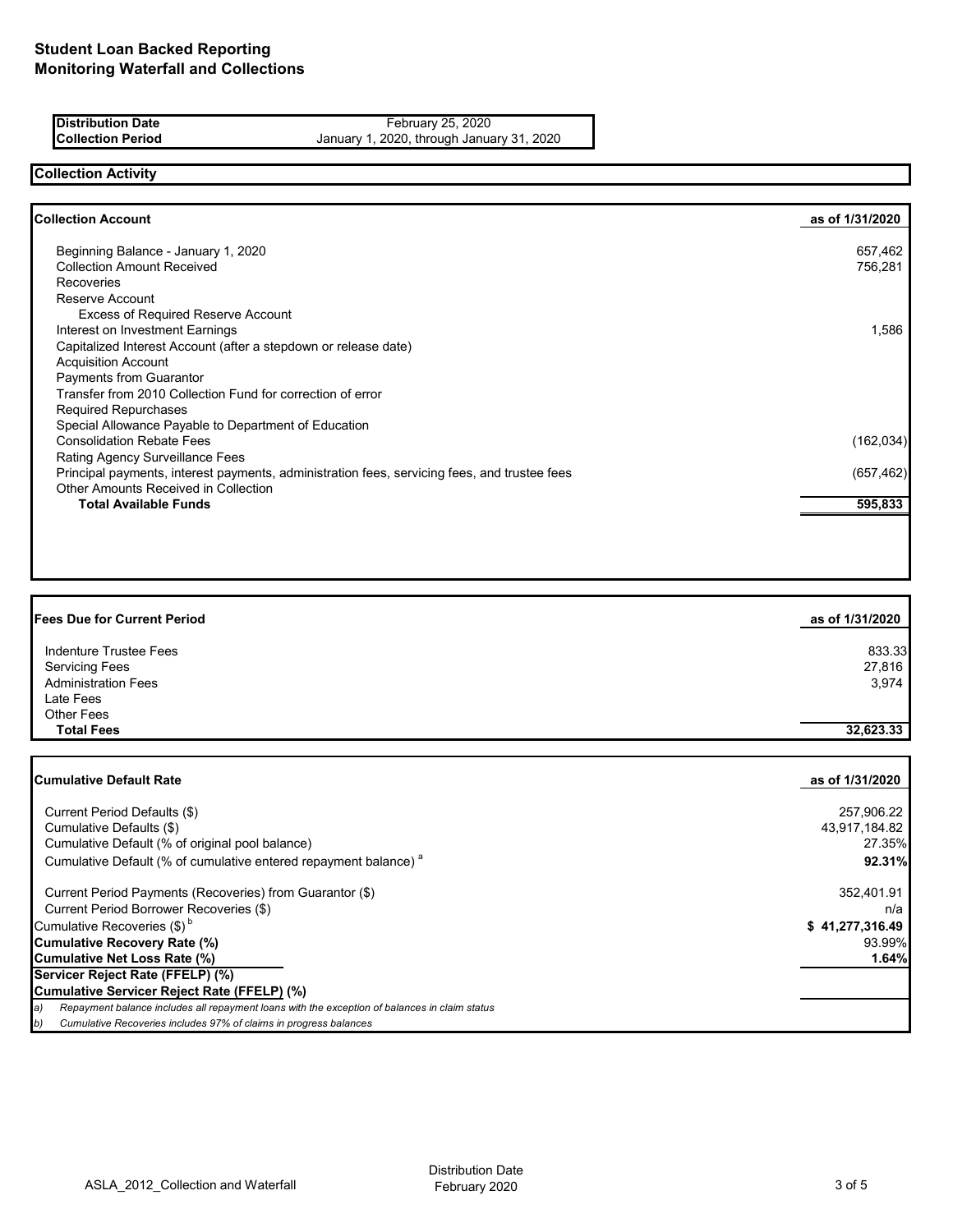| <b>Distribution Date</b> | February 25, 2020                         |
|--------------------------|-------------------------------------------|
| <b>Collection Period</b> | January 1, 2020, through January 31, 2020 |

## **Collection Activity**

| <b>Collection Account</b>                                                                    | as of 1/31/2020 |
|----------------------------------------------------------------------------------------------|-----------------|
| Beginning Balance - January 1, 2020                                                          | 657,462         |
| <b>Collection Amount Received</b>                                                            | 756,281         |
| <b>Recoveries</b>                                                                            |                 |
| Reserve Account                                                                              |                 |
| <b>Excess of Required Reserve Account</b>                                                    |                 |
| Interest on Investment Earnings                                                              | 1,586           |
| Capitalized Interest Account (after a stepdown or release date)                              |                 |
| <b>Acquisition Account</b>                                                                   |                 |
| <b>Payments from Guarantor</b>                                                               |                 |
| Transfer from 2010 Collection Fund for correction of error                                   |                 |
| Required Repurchases                                                                         |                 |
| Special Allowance Payable to Department of Education                                         |                 |
| <b>Consolidation Rebate Fees</b>                                                             | (162, 034)      |
| Rating Agency Surveillance Fees                                                              |                 |
| Principal payments, interest payments, administration fees, servicing fees, and trustee fees | (657, 462)      |
| <b>Other Amounts Received in Collection</b>                                                  |                 |
| <b>Total Available Funds</b>                                                                 | 595,833         |

| <b>Fees Due for Current Period</b> | as of 1/31/2020 |
|------------------------------------|-----------------|
| Indenture Trustee Fees             | 833.33          |
| <b>Servicing Fees</b>              | 27,816          |
| <b>Administration Fees</b>         | 3,974           |
| Late Fees                          |                 |
| <b>Other Fees</b>                  |                 |
| <b>Total Fees</b>                  | 32,623.33       |

| <b>ICumulative Default Rate</b>                                                                     | as of 1/31/2020 |
|-----------------------------------------------------------------------------------------------------|-----------------|
| Current Period Defaults (\$)                                                                        | 257,906.22      |
| Cumulative Defaults (\$)                                                                            | 43,917,184.82   |
| Cumulative Default (% of original pool balance)                                                     | 27.35%          |
| Cumulative Default (% of cumulative entered repayment balance) <sup>a</sup>                         | 92.31%          |
| Current Period Payments (Recoveries) from Guarantor (\$)                                            | 352,401.91      |
| Current Period Borrower Recoveries (\$)                                                             | n/a             |
| Cumulative Recoveries $(\$)^b$                                                                      | \$41,277,316.49 |
| <b>Cumulative Recovery Rate (%)</b>                                                                 | 93.99%          |
| <b>Cumulative Net Loss Rate (%)</b>                                                                 | 1.64%           |
| Servicer Reject Rate (FFELP) (%)                                                                    |                 |
| Cumulative Servicer Reject Rate (FFELP) (%)                                                         |                 |
| Repayment balance includes all repayment loans with the exception of balances in claim status<br>a) |                 |
| Cumulative Recoveries includes 97% of claims in progress balances<br>b)                             |                 |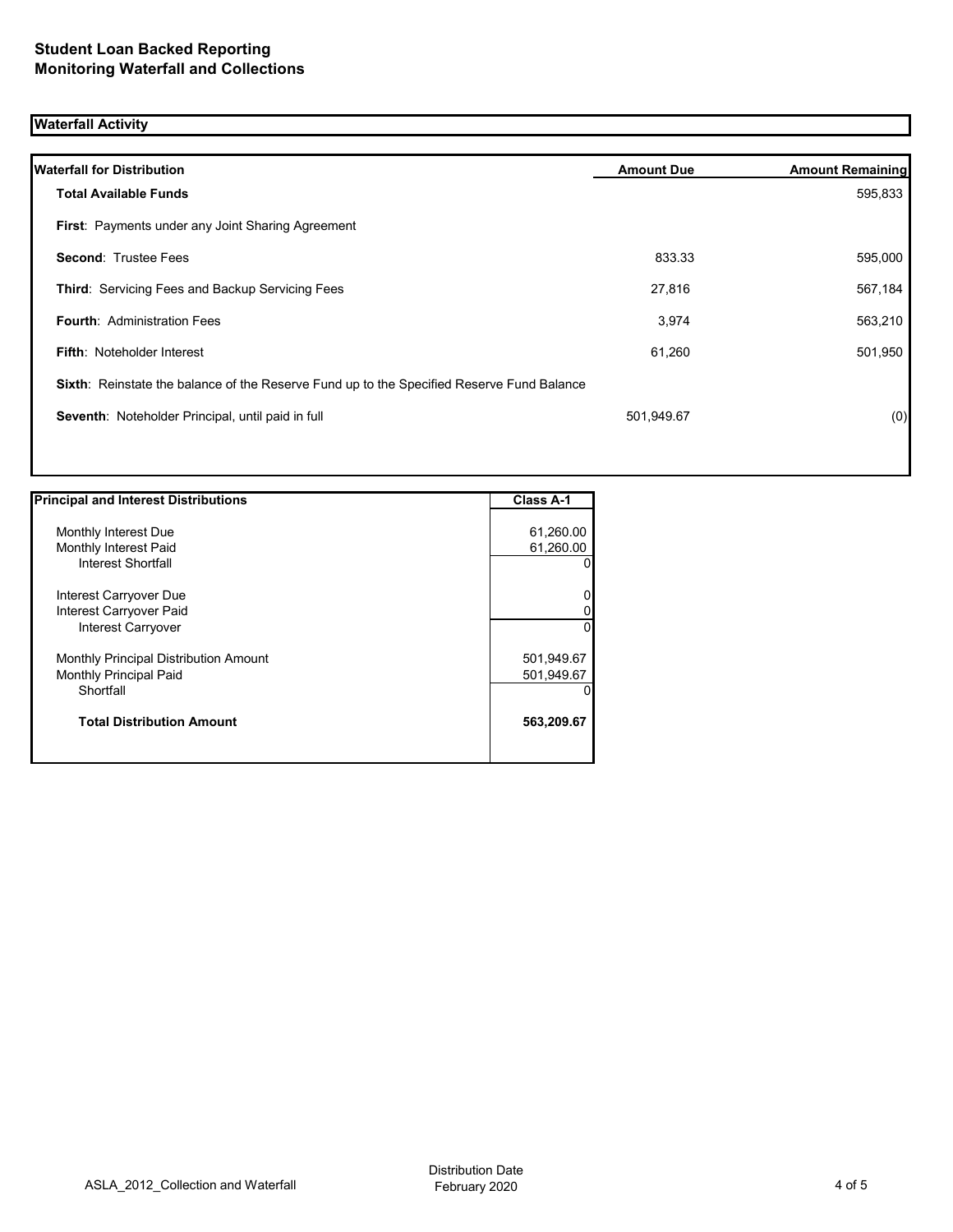## **Waterfall Activity**

| <b>Waterfall for Distribution</b>                                                         | <b>Amount Due</b> | <b>Amount Remaining</b> |
|-------------------------------------------------------------------------------------------|-------------------|-------------------------|
| <b>Total Available Funds</b>                                                              |                   | 595,833                 |
| First: Payments under any Joint Sharing Agreement                                         |                   |                         |
| <b>Second: Trustee Fees</b>                                                               | 833.33            | 595,000                 |
| <b>Third: Servicing Fees and Backup Servicing Fees</b>                                    | 27,816            | 567,184                 |
| <b>Fourth: Administration Fees</b>                                                        | 3,974             | 563,210                 |
| <b>Fifth: Noteholder Interest</b>                                                         | 61,260            | 501,950                 |
| Sixth: Reinstate the balance of the Reserve Fund up to the Specified Reserve Fund Balance |                   |                         |
| Seventh: Noteholder Principal, until paid in full                                         | 501,949.67        | (0)                     |
|                                                                                           |                   |                         |

| <b>Principal and Interest Distributions</b> | <b>Class A-1</b> |
|---------------------------------------------|------------------|
|                                             |                  |
| Monthly Interest Due                        | 61,260.00        |
| Monthly Interest Paid                       | 61,260.00        |
| Interest Shortfall                          | 0                |
| Interest Carryover Due                      | 0                |
| Interest Carryover Paid                     | 0                |
| Interest Carryover                          | $\Omega$         |
| Monthly Principal Distribution Amount       | 501,949.67       |
| <b>Monthly Principal Paid</b>               | 501,949.67       |
| Shortfall                                   | $\Omega$         |
| <b>Total Distribution Amount</b>            | 563,209.67       |
|                                             |                  |